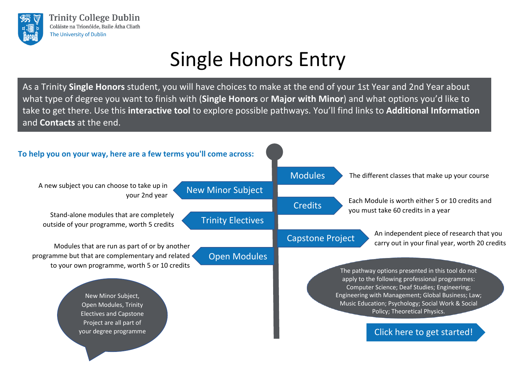<span id="page-0-0"></span>

# Single Honors Entry

As a Trinity **Single Honors** student, you will have choices to make at the end of your 1st Year and 2nd Year about what type of degree you want to finish with (**Single Honors** or **Major with Minor**) and what options you'd like to take to get there. Use this **interactive tool** to explore possible pathways. You'll find links to **[Additional Information](#page-7-0)**  and **[Contacts](#page-7-0)** at the end.

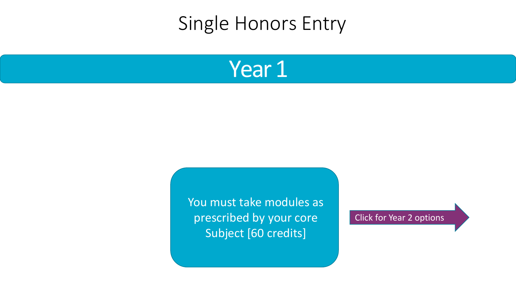### <span id="page-1-0"></span>Single Honors Entry



You must take modules as prescribed by your core Subject [60 credits]

Click for Year [2 options](#page-2-0)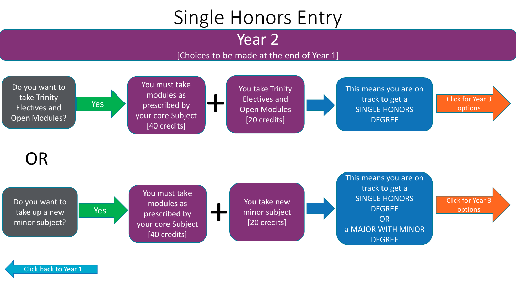# Single Honors Entry

Year 2

#### [Choices to be made at the end of Year 1]

<span id="page-2-0"></span>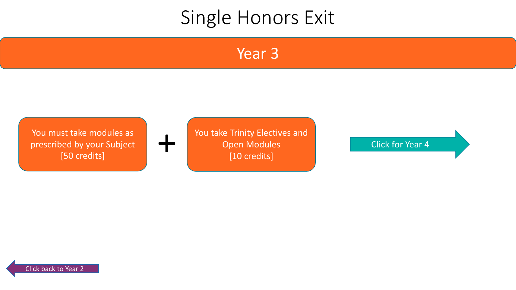#### Year 3

<span id="page-3-0"></span>You must take modules as prescribed by your Subject



You take Trinity Electives and Open Modules [10 credits] St take modules as a contract the contract of the [Click](#page-6-0) for Year 4<br>
150 credits] The Click for Year 4<br>
St take modules<br>
Click for Year 4<br>
The Click for Year 4<br>
The Click for Year 4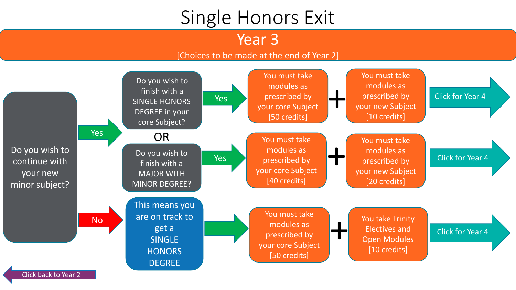Year 3

#### [Choices to be made at the end of Year 2]

<span id="page-4-0"></span>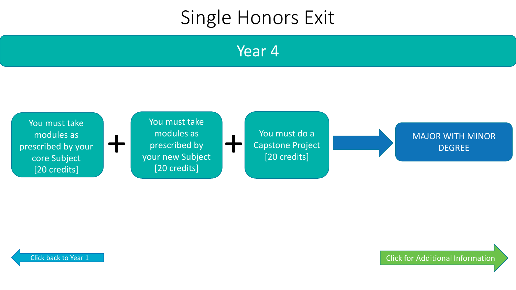Year 4

<span id="page-5-0"></span>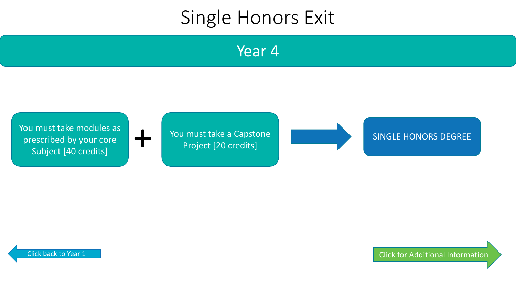Year 4

<span id="page-6-0"></span>

[Click for Additional Information](#page-7-0)

SINGLE HONORS DEGREE